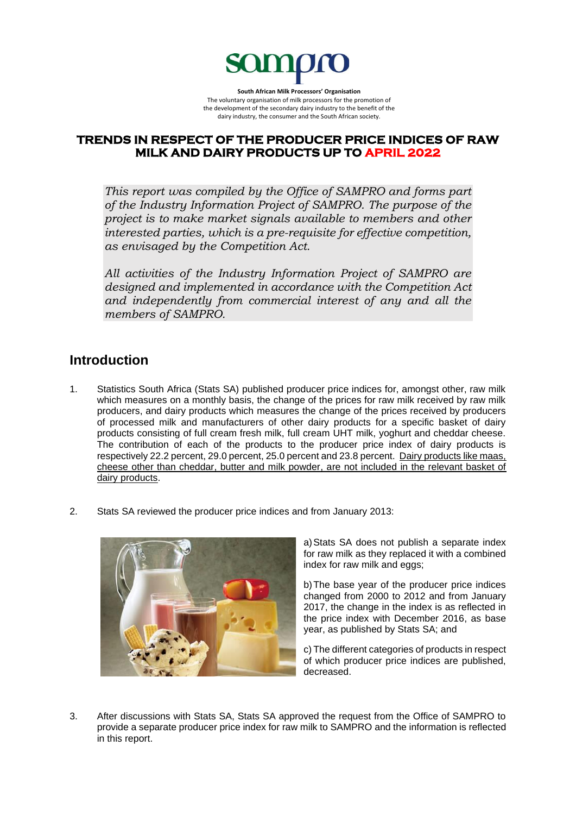

**South African Milk Processors' Organisation** The voluntary organisation of milk processors for the promotion of the development of the secondary dairy industry to the benefit of the dairy industry, the consumer and the South African society.

## **TRENDS IN RESPECT OF THE PRODUCER PRICE INDICES OF RAW MILK AND DAIRY PRODUCTS UP TO APRIL 2022**

*This report was compiled by the Office of SAMPRO and forms part of the Industry Information Project of SAMPRO. The purpose of the project is to make market signals available to members and other interested parties, which is a pre-requisite for effective competition, as envisaged by the Competition Act.* 

*All activities of the Industry Information Project of SAMPRO are designed and implemented in accordance with the Competition Act and independently from commercial interest of any and all the members of SAMPRO.*

## **Introduction**

- 1. Statistics South Africa (Stats SA) published producer price indices for, amongst other, raw milk which measures on a monthly basis, the change of the prices for raw milk received by raw milk producers, and dairy products which measures the change of the prices received by producers of processed milk and manufacturers of other dairy products for a specific basket of dairy products consisting of full cream fresh milk, full cream UHT milk, yoghurt and cheddar cheese. The contribution of each of the products to the producer price index of dairy products is respectively 22.2 percent, 29.0 percent, 25.0 percent and 23.8 percent. Dairy products like maas, cheese other than cheddar, butter and milk powder, are not included in the relevant basket of dairy products.
- 2. Stats SA reviewed the producer price indices and from January 2013:



a)Stats SA does not publish a separate index for raw milk as they replaced it with a combined index for raw milk and eggs;

b)The base year of the producer price indices changed from 2000 to 2012 and from January 2017, the change in the index is as reflected in the price index with December 2016, as base year, as published by Stats SA; and

c) The different categories of products in respect of which producer price indices are published, decreased.

3. After discussions with Stats SA, Stats SA approved the request from the Office of SAMPRO to provide a separate producer price index for raw milk to SAMPRO and the information is reflected in this report.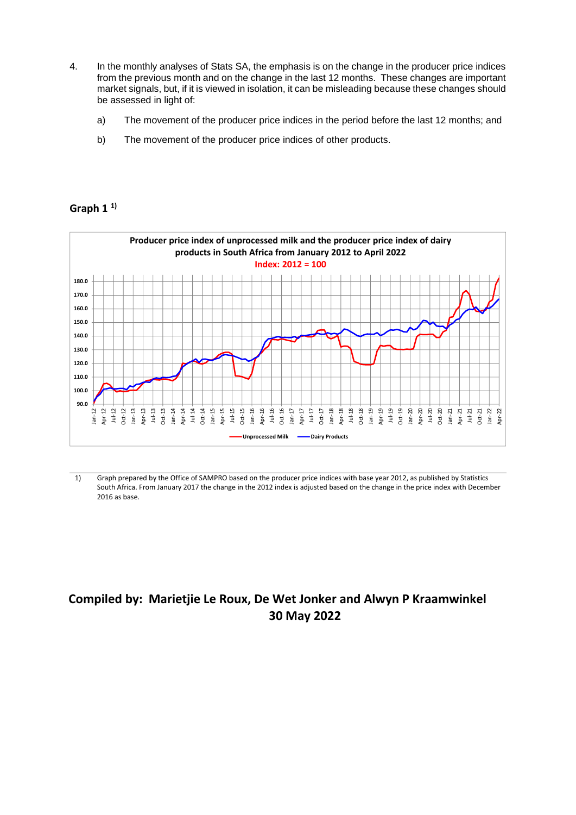- 4. In the monthly analyses of Stats SA, the emphasis is on the change in the producer price indices from the previous month and on the change in the last 12 months. These changes are important market signals, but, if it is viewed in isolation, it can be misleading because these changes should be assessed in light of:
	- a) The movement of the producer price indices in the period before the last 12 months; and
	- b) The movement of the producer price indices of other products.

## **Graph 1 1)**



1) Graph prepared by the Office of SAMPRO based on the producer price indices with base year 2012, as published by Statistics South Africa. From January 2017 the change in the 2012 index is adjusted based on the change in the price index with December 2016 as base.

# **Compiled by: Marietjie Le Roux, De Wet Jonker and Alwyn P Kraamwinkel 30 May 2022**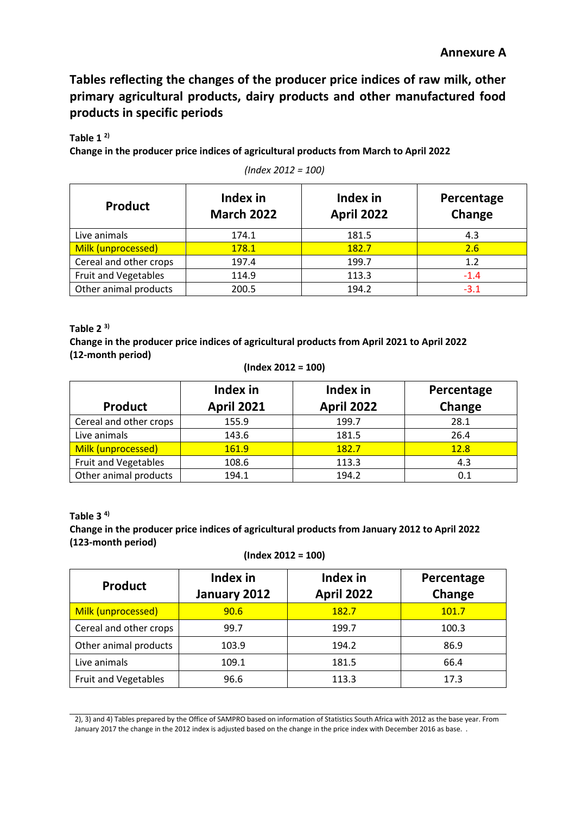**Tables reflecting the changes of the producer price indices of raw milk, other primary agricultural products, dairy products and other manufactured food products in specific periods**

**Table 1 2)**

**Change in the producer price indices of agricultural products from March to April 2022**

| <b>Product</b>              | Index in<br><b>March 2022</b> | Index in<br><b>April 2022</b> | Percentage<br>Change |
|-----------------------------|-------------------------------|-------------------------------|----------------------|
| Live animals                | 174.1                         | 181.5                         | 4.3                  |
| Milk (unprocessed)          | 178.1                         | 182.7                         | 2.6                  |
| Cereal and other crops      | 197.4                         | 199.7                         | 1.2                  |
| <b>Fruit and Vegetables</b> | 114.9                         | 113.3                         | $-1.4$               |
| Other animal products       | 200.5                         | 194.2                         | $-3.1$               |

*(Index 2012 = 100)*

#### **Table 2 3)**

**Change in the producer price indices of agricultural products from April 2021 to April 2022 (12-month period)**

```
(Index 2012 = 100)
```

| <b>Product</b>              | Index in<br><b>April 2021</b> | Index in<br><b>April 2022</b> | Percentage<br>Change |
|-----------------------------|-------------------------------|-------------------------------|----------------------|
| Cereal and other crops      | 155.9                         | 199.7                         | 28.1                 |
| Live animals                | 143.6                         | 181.5                         | 26.4                 |
| Milk (unprocessed)          | 161.9                         | 182.7                         | 12.8                 |
| <b>Fruit and Vegetables</b> | 108.6                         | 113.3                         | 4.3                  |
| Other animal products       | 194.1                         | 194.2                         | 0.1                  |

#### **Table 3 4) Change in the producer price indices of agricultural products from January 2012 to April 2022 (123-month period)**

```
(Index 2012 = 100)
```

| <b>Product</b>              | Index in<br>January 2012 | Index in<br><b>April 2022</b> | Percentage<br>Change |
|-----------------------------|--------------------------|-------------------------------|----------------------|
| Milk (unprocessed)          | 90.6                     | 182.7                         | 101.7                |
| Cereal and other crops      | 99.7                     | 199.7                         | 100.3                |
| Other animal products       | 103.9                    | 194.2                         | 86.9                 |
| Live animals                | 109.1                    | 181.5                         | 66.4                 |
| <b>Fruit and Vegetables</b> | 96.6                     | 113.3                         | 17.3                 |

2), 3) and 4) Tables prepared by the Office of SAMPRO based on information of Statistics South Africa with 2012 as the base year. From January 2017 the change in the 2012 index is adjusted based on the change in the price index with December 2016 as base. .